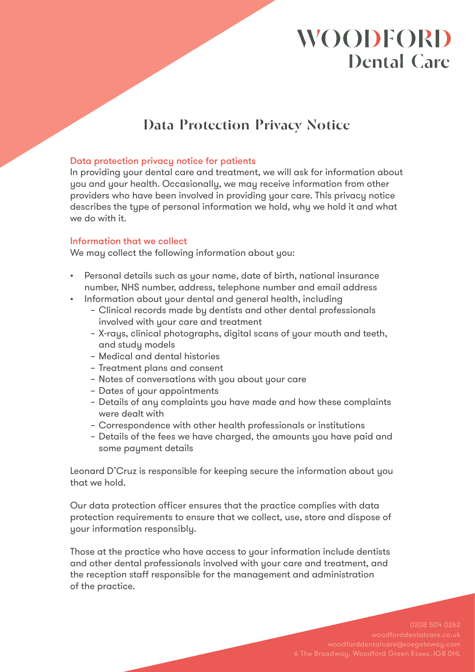## **Data Protection Privacy Notice**

### Data protection privacy notice for patients

In providing your dental care and treatment, we will ask for information about you and your health. Occasionally, we may receive information from other providers who have been involved in providing your care. This privacy notice describes the type of personal information we hold, why we hold it and what we do with it.

### Information that we collect

We may collect the following information about you:

- Personal details such as your name, date of birth, national insurance number, NHS number, address, telephone number and email address
- Information about your dental and general health, including
	- Clinical records made by dentists and other dental professionals involved with your care and treatment
	- X-rays, clinical photographs, digital scans of your mouth and teeth, and study models
	- Medical and dental histories
	- Treatment plans and consent
	- Notes of conversations with you about your care
	- Dates of your appointments
	- Details of any complaints you have made and how these complaints were dealt with
	- Correspondence with other health professionals or institutions
	- Details of the fees we have charged, the amounts you have paid and some payment details

Leonard D'Cruz is responsible for keeping secure the information about you that we hold.

Our data protection officer ensures that the practice complies with data protection requirements to ensure that we collect, use, store and dispose of your information responsibly.

Those at the practice who have access to your information include dentists and other dental professionals involved with your care and treatment, and the reception staff responsible for the management and administration of the practice.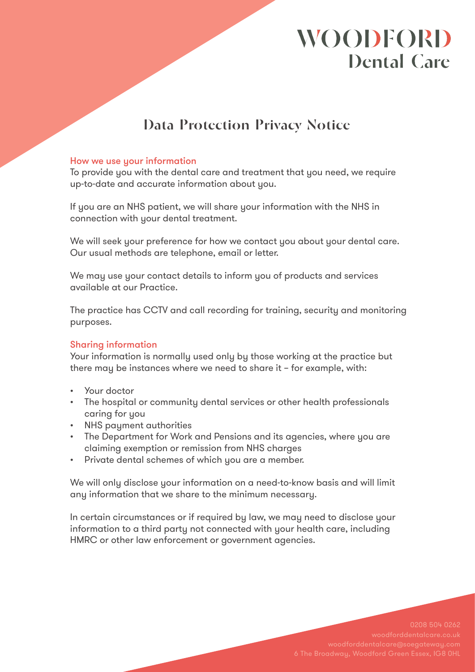## **Data Protection Privacy Notice**

### How we use your information

To provide you with the dental care and treatment that you need, we require up-to-date and accurate information about you.

If you are an NHS patient, we will share your information with the NHS in connection with your dental treatment.

We will seek your preference for how we contact you about your dental care. Our usual methods are telephone, email or letter.

We may use your contact details to inform you of products and services available at our Practice.

The practice has CCTV and call recording for training, security and monitoring purposes.

### Sharing information

Your information is normally used only by those working at the practice but there may be instances where we need to share it – for example, with:

- • Your doctor
- The hospital or community dental services or other health professionals caring for you
- • NHS payment authorities
- The Department for Work and Pensions and its agencies, where you are claiming exemption or remission from NHS charges
- • Private dental schemes of which you are a member.

We will only disclose your information on a need-to-know basis and will limit any information that we share to the minimum necessary.

In certain circumstances or if required by law, we may need to disclose your information to a third party not connected with your health care, including HMRC or other law enforcement or government agencies.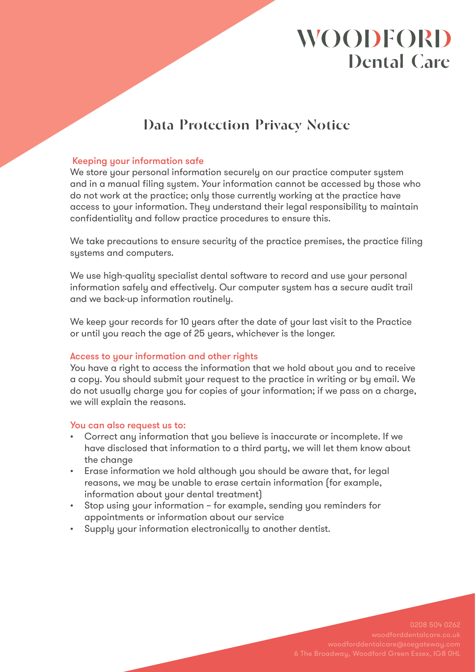## **Data Protection Privacy Notice**

### Keeping your information safe

We store your personal information securely on our practice computer system and in a manual filing system. Your information cannot be accessed by those who do not work at the practice; only those currently working at the practice have access to your information. They understand their legal responsibility to maintain confidentiality and follow practice procedures to ensure this.

We take precautions to ensure security of the practice premises, the practice filing systems and computers.

We use high-quality specialist dental software to record and use your personal information safely and effectively. Our computer system has a secure audit trail and we back-up information routinely.

We keep your records for 10 years after the date of your last visit to the Practice or until you reach the age of 25 years, whichever is the longer.

### Access to your information and other rights

You have a right to access the information that we hold about you and to receive a copy. You should submit your request to the practice in writing or by email. We do not usually charge you for copies of your information; if we pass on a charge, we will explain the reasons.

### You can also request us to:

- • Correct any information that you believe is inaccurate or incomplete. If we have disclosed that information to a third party, we will let them know about the change
- Erase information we hold although you should be aware that, for legal reasons, we may be unable to erase certain information (for example, information about your dental treatment)
- • Stop using your information for example, sending you reminders for appointments or information about our service
- • Supply your information electronically to another dentist.